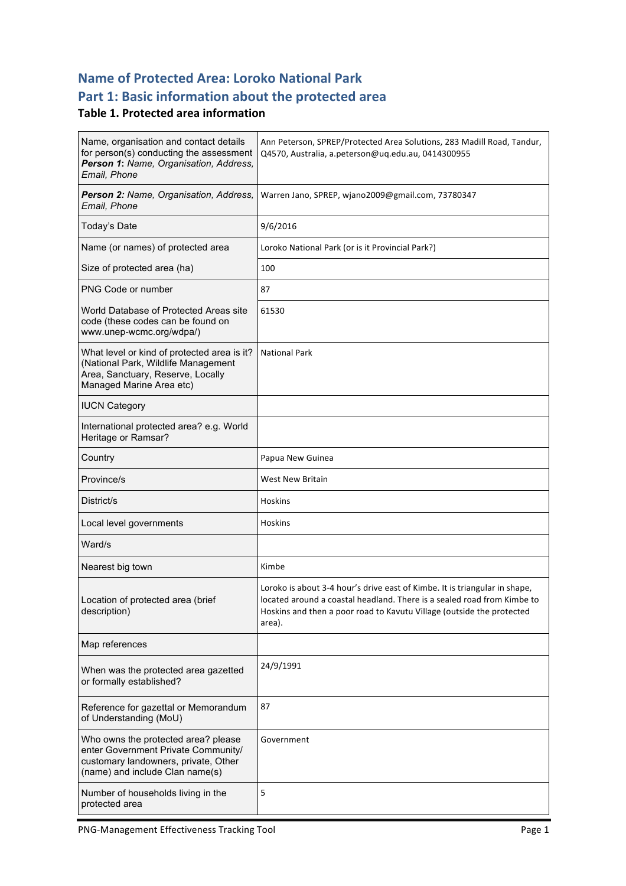## **Name of Protected Area: Loroko National Park** Part 1: Basic information about the protected area

#### **Table 1. Protected area information**

| Name, organisation and contact details<br>for person(s) conducting the assessment<br>Person 1: Name, Organisation, Address,<br>Email, Phone           | Ann Peterson, SPREP/Protected Area Solutions, 283 Madill Road, Tandur,<br>Q4570, Australia, a.peterson@uq.edu.au, 0414300955                                                                                                             |  |
|-------------------------------------------------------------------------------------------------------------------------------------------------------|------------------------------------------------------------------------------------------------------------------------------------------------------------------------------------------------------------------------------------------|--|
| Person 2: Name, Organisation, Address,<br>Email, Phone                                                                                                | Warren Jano, SPREP, wjano2009@gmail.com, 73780347                                                                                                                                                                                        |  |
| Today's Date                                                                                                                                          | 9/6/2016                                                                                                                                                                                                                                 |  |
| Name (or names) of protected area                                                                                                                     | Loroko National Park (or is it Provincial Park?)                                                                                                                                                                                         |  |
| Size of protected area (ha)                                                                                                                           | 100                                                                                                                                                                                                                                      |  |
| PNG Code or number                                                                                                                                    | 87                                                                                                                                                                                                                                       |  |
| World Database of Protected Areas site<br>code (these codes can be found on<br>www.unep-wcmc.org/wdpa/)                                               | 61530                                                                                                                                                                                                                                    |  |
| What level or kind of protected area is it?<br>(National Park, Wildlife Management<br>Area, Sanctuary, Reserve, Locally<br>Managed Marine Area etc)   | <b>National Park</b>                                                                                                                                                                                                                     |  |
| <b>IUCN Category</b>                                                                                                                                  |                                                                                                                                                                                                                                          |  |
| International protected area? e.g. World<br>Heritage or Ramsar?                                                                                       |                                                                                                                                                                                                                                          |  |
| Country                                                                                                                                               | Papua New Guinea                                                                                                                                                                                                                         |  |
|                                                                                                                                                       |                                                                                                                                                                                                                                          |  |
| Province/s                                                                                                                                            | <b>West New Britain</b>                                                                                                                                                                                                                  |  |
| District/s                                                                                                                                            | <b>Hoskins</b>                                                                                                                                                                                                                           |  |
| Local level governments                                                                                                                               | Hoskins                                                                                                                                                                                                                                  |  |
| Ward/s                                                                                                                                                |                                                                                                                                                                                                                                          |  |
| Nearest big town                                                                                                                                      | Kimbe                                                                                                                                                                                                                                    |  |
| Location of protected area (brief<br>description)                                                                                                     | Loroko is about 3-4 hour's drive east of Kimbe. It is triangular in shape,<br>located around a coastal headland. There is a sealed road from Kimbe to<br>Hoskins and then a poor road to Kavutu Village (outside the protected<br>area). |  |
| Map references                                                                                                                                        |                                                                                                                                                                                                                                          |  |
| When was the protected area gazetted<br>or formally established?                                                                                      | 24/9/1991                                                                                                                                                                                                                                |  |
| Reference for gazettal or Memorandum<br>of Understanding (MoU)                                                                                        | 87                                                                                                                                                                                                                                       |  |
| Who owns the protected area? please<br>enter Government Private Community/<br>customary landowners, private, Other<br>(name) and include Clan name(s) | Government                                                                                                                                                                                                                               |  |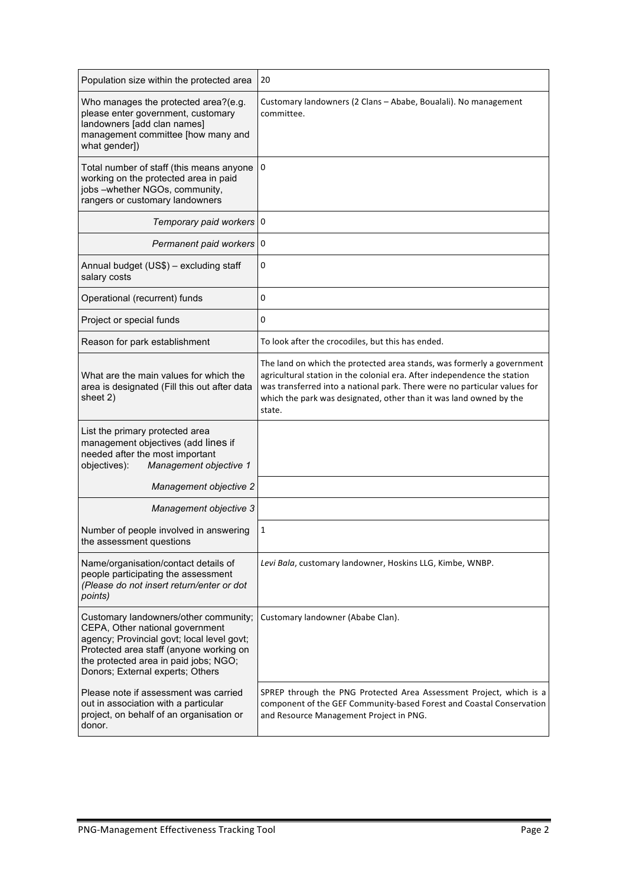| Population size within the protected area                                                                                                                                                                                                      | 20                                                                                                                                                                                                                                                                                                              |
|------------------------------------------------------------------------------------------------------------------------------------------------------------------------------------------------------------------------------------------------|-----------------------------------------------------------------------------------------------------------------------------------------------------------------------------------------------------------------------------------------------------------------------------------------------------------------|
| Who manages the protected area?(e.g.<br>please enter government, customary<br>landowners [add clan names]<br>management committee [how many and<br>what gender])                                                                               | Customary landowners (2 Clans - Ababe, Boualali). No management<br>committee.                                                                                                                                                                                                                                   |
| Total number of staff (this means anyone<br>working on the protected area in paid<br>jobs -whether NGOs, community,<br>rangers or customary landowners                                                                                         | 0                                                                                                                                                                                                                                                                                                               |
| Temporary paid workers                                                                                                                                                                                                                         | 0                                                                                                                                                                                                                                                                                                               |
| Permanent paid workers 0                                                                                                                                                                                                                       |                                                                                                                                                                                                                                                                                                                 |
| Annual budget (US\$) - excluding staff<br>salary costs                                                                                                                                                                                         | 0                                                                                                                                                                                                                                                                                                               |
| Operational (recurrent) funds                                                                                                                                                                                                                  | 0                                                                                                                                                                                                                                                                                                               |
| Project or special funds                                                                                                                                                                                                                       | 0                                                                                                                                                                                                                                                                                                               |
| Reason for park establishment                                                                                                                                                                                                                  | To look after the crocodiles, but this has ended.                                                                                                                                                                                                                                                               |
| What are the main values for which the<br>area is designated (Fill this out after data<br>sheet 2)                                                                                                                                             | The land on which the protected area stands, was formerly a government<br>agricultural station in the colonial era. After independence the station<br>was transferred into a national park. There were no particular values for<br>which the park was designated, other than it was land owned by the<br>state. |
| List the primary protected area<br>management objectives (add lines if<br>needed after the most important<br>Management objective 1<br>objectives):                                                                                            |                                                                                                                                                                                                                                                                                                                 |
| Management objective 2                                                                                                                                                                                                                         |                                                                                                                                                                                                                                                                                                                 |
| Management objective 3                                                                                                                                                                                                                         |                                                                                                                                                                                                                                                                                                                 |
| Number of people involved in answering<br>the assessment questions                                                                                                                                                                             | 1                                                                                                                                                                                                                                                                                                               |
| Name/organisation/contact details of<br>people participating the assessment<br>(Please do not insert return/enter or dot<br>points)                                                                                                            | Levi Bala, customary landowner, Hoskins LLG, Kimbe, WNBP.                                                                                                                                                                                                                                                       |
| Customary landowners/other community;<br>CEPA, Other national government<br>agency; Provincial govt; local level govt;<br>Protected area staff (anyone working on<br>the protected area in paid jobs; NGO;<br>Donors; External experts; Others | Customary landowner (Ababe Clan).                                                                                                                                                                                                                                                                               |
| Please note if assessment was carried<br>out in association with a particular<br>project, on behalf of an organisation or<br>donor.                                                                                                            | SPREP through the PNG Protected Area Assessment Project, which is a<br>component of the GEF Community-based Forest and Coastal Conservation<br>and Resource Management Project in PNG.                                                                                                                          |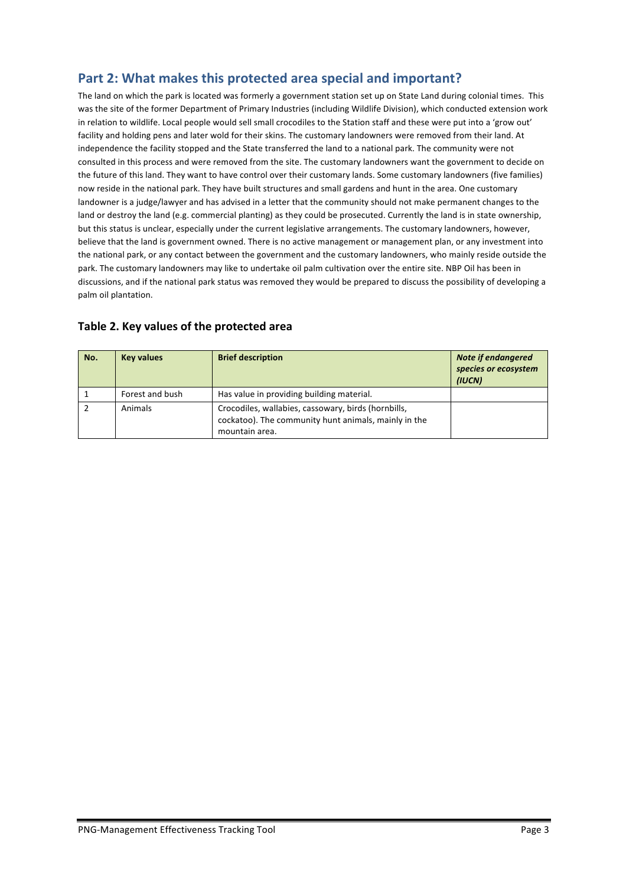## Part 2: What makes this protected area special and important?

The land on which the park is located was formerly a government station set up on State Land during colonial times. This was the site of the former Department of Primary Industries (including Wildlife Division), which conducted extension work in relation to wildlife. Local people would sell small crocodiles to the Station staff and these were put into a 'grow out' facility and holding pens and later wold for their skins. The customary landowners were removed from their land. At independence the facility stopped and the State transferred the land to a national park. The community were not consulted in this process and were removed from the site. The customary landowners want the government to decide on the future of this land. They want to have control over their customary lands. Some customary landowners (five families) now reside in the national park. They have built structures and small gardens and hunt in the area. One customary landowner is a judge/lawyer and has advised in a letter that the community should not make permanent changes to the land or destroy the land (e.g. commercial planting) as they could be prosecuted. Currently the land is in state ownership, but this status is unclear, especially under the current legislative arrangements. The customary landowners, however, believe that the land is government owned. There is no active management or management plan, or any investment into the national park, or any contact between the government and the customary landowners, who mainly reside outside the park. The customary landowners may like to undertake oil palm cultivation over the entire site. NBP Oil has been in discussions, and if the national park status was removed they would be prepared to discuss the possibility of developing a palm oil plantation.

| No. | <b>Key values</b> | <b>Brief description</b>                                                                                                      | <b>Note if endangered</b><br>species or ecosystem<br>(IUCN) |
|-----|-------------------|-------------------------------------------------------------------------------------------------------------------------------|-------------------------------------------------------------|
|     | Forest and bush   | Has value in providing building material.                                                                                     |                                                             |
|     | Animals           | Crocodiles, wallabies, cassowary, birds (hornbills,<br>cockatoo). The community hunt animals, mainly in the<br>mountain area. |                                                             |

#### Table 2. Key values of the protected area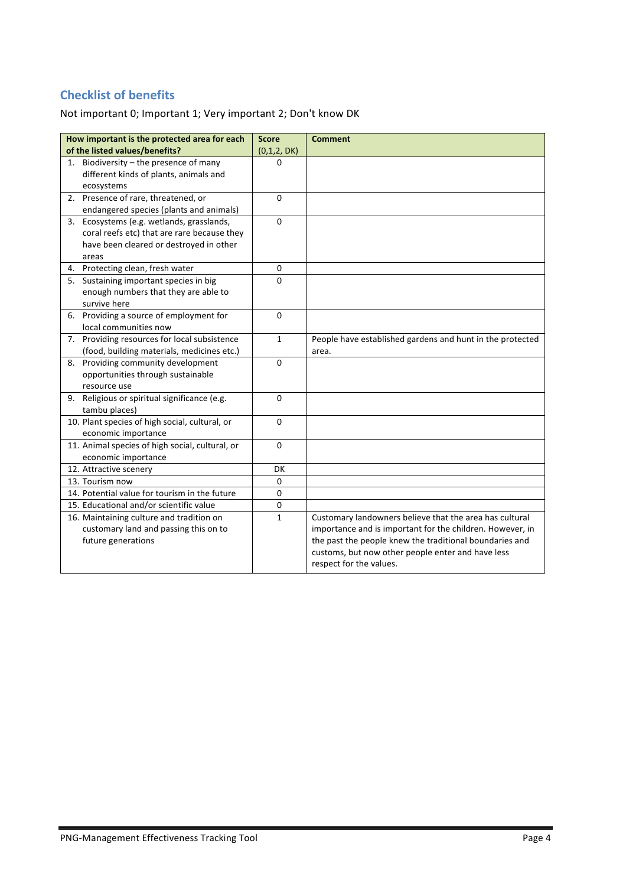## **Checklist of benefits**

Not important 0; Important 1; Very important 2; Don't know DK

| How important is the protected area for each                                             | <b>Score</b> | <b>Comment</b>                                                                                               |
|------------------------------------------------------------------------------------------|--------------|--------------------------------------------------------------------------------------------------------------|
| of the listed values/benefits?                                                           | (0,1,2,DK)   |                                                                                                              |
| 1. Biodiversity - the presence of many<br>different kinds of plants, animals and         | $\Omega$     |                                                                                                              |
| ecosystems                                                                               |              |                                                                                                              |
| 2. Presence of rare, threatened, or                                                      | $\Omega$     |                                                                                                              |
| endangered species (plants and animals)                                                  | $\Omega$     |                                                                                                              |
| 3. Ecosystems (e.g. wetlands, grasslands,<br>coral reefs etc) that are rare because they |              |                                                                                                              |
| have been cleared or destroyed in other                                                  |              |                                                                                                              |
| areas                                                                                    |              |                                                                                                              |
| 4. Protecting clean, fresh water                                                         | 0            |                                                                                                              |
| Sustaining important species in big<br>5.                                                | 0            |                                                                                                              |
| enough numbers that they are able to                                                     |              |                                                                                                              |
| survive here                                                                             |              |                                                                                                              |
| 6. Providing a source of employment for                                                  | $\Omega$     |                                                                                                              |
| local communities now                                                                    |              |                                                                                                              |
| 7. Providing resources for local subsistence                                             | $\mathbf{1}$ | People have established gardens and hunt in the protected                                                    |
| (food, building materials, medicines etc.)                                               |              | area.                                                                                                        |
| 8. Providing community development                                                       | $\Omega$     |                                                                                                              |
| opportunities through sustainable                                                        |              |                                                                                                              |
| resource use                                                                             |              |                                                                                                              |
| Religious or spiritual significance (e.g.<br>9.                                          | $\Omega$     |                                                                                                              |
| tambu places)                                                                            |              |                                                                                                              |
| 10. Plant species of high social, cultural, or                                           | 0            |                                                                                                              |
| economic importance                                                                      |              |                                                                                                              |
| 11. Animal species of high social, cultural, or                                          | $\mathbf 0$  |                                                                                                              |
| economic importance                                                                      |              |                                                                                                              |
| 12. Attractive scenery                                                                   | DK           |                                                                                                              |
| 13. Tourism now                                                                          | $\mathbf 0$  |                                                                                                              |
| 14. Potential value for tourism in the future                                            | $\mathbf 0$  |                                                                                                              |
| 15. Educational and/or scientific value                                                  | $\pmb{0}$    |                                                                                                              |
| 16. Maintaining culture and tradition on                                                 | 1            | Customary landowners believe that the area has cultural                                                      |
| customary land and passing this on to                                                    |              | importance and is important for the children. However, in                                                    |
| future generations                                                                       |              | the past the people knew the traditional boundaries and<br>customs, but now other people enter and have less |
|                                                                                          |              | respect for the values.                                                                                      |
|                                                                                          |              |                                                                                                              |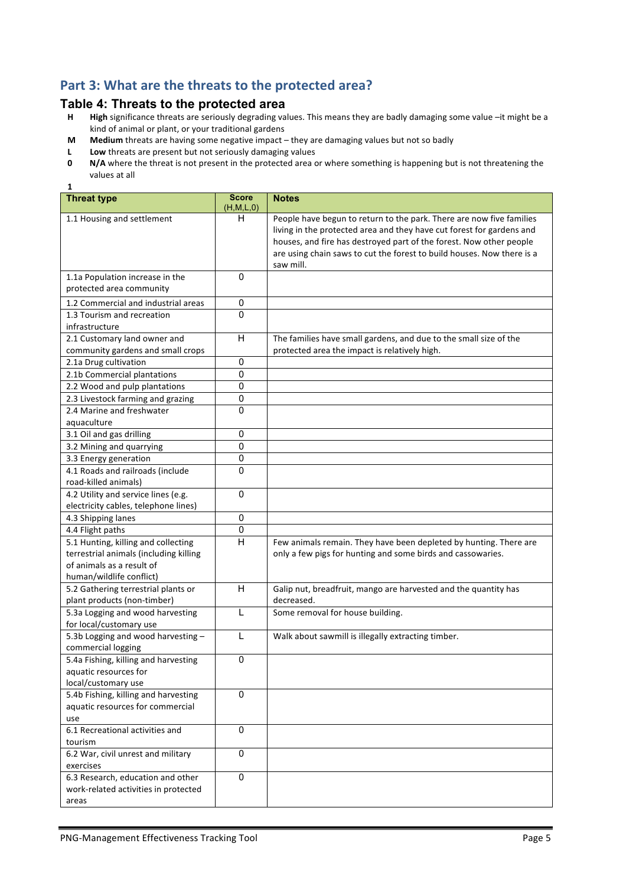## Part 3: What are the threats to the protected area?

# **Table 4: Threats to the protected area**<br>**H** High significance threats are seriously degrading val

**1**

- High significance threats are seriously degrading values. This means they are badly damaging some value -it might be a kind of animal or plant, or your traditional gardens
- **M** Medium threats are having some negative impact they are damaging values but not so badly
- **L** Low threats are present but not seriously damaging values<br>**0** N/A where the threat is not present in the protected area c
- **N/A** where the threat is not present in the protected area or where something is happening but is not threatening the values at all

| <b>Threat type</b>                                      | <b>Score</b><br>(H, M, L, 0) | <b>Notes</b>                                                           |
|---------------------------------------------------------|------------------------------|------------------------------------------------------------------------|
| 1.1 Housing and settlement                              | н                            | People have begun to return to the park. There are now five families   |
|                                                         |                              | living in the protected area and they have cut forest for gardens and  |
|                                                         |                              | houses, and fire has destroyed part of the forest. Now other people    |
|                                                         |                              | are using chain saws to cut the forest to build houses. Now there is a |
|                                                         |                              | saw mill.                                                              |
| 1.1a Population increase in the                         | 0                            |                                                                        |
| protected area community                                |                              |                                                                        |
| 1.2 Commercial and industrial areas                     | 0                            |                                                                        |
| 1.3 Tourism and recreation                              | 0                            |                                                                        |
| infrastructure                                          |                              |                                                                        |
| 2.1 Customary land owner and                            | H                            | The families have small gardens, and due to the small size of the      |
| community gardens and small crops                       |                              | protected area the impact is relatively high.                          |
| 2.1a Drug cultivation                                   | 0                            |                                                                        |
| 2.1b Commercial plantations                             | 0                            |                                                                        |
| 2.2 Wood and pulp plantations                           | 0                            |                                                                        |
| 2.3 Livestock farming and grazing                       | 0                            |                                                                        |
| 2.4 Marine and freshwater                               | 0                            |                                                                        |
| aquaculture                                             |                              |                                                                        |
| 3.1 Oil and gas drilling                                | $\mathbf 0$                  |                                                                        |
| 3.2 Mining and quarrying                                | 0                            |                                                                        |
| 3.3 Energy generation                                   | 0                            |                                                                        |
| 4.1 Roads and railroads (include                        | 0                            |                                                                        |
| road-killed animals)                                    |                              |                                                                        |
| 4.2 Utility and service lines (e.g.                     | $\Omega$                     |                                                                        |
| electricity cables, telephone lines)                    |                              |                                                                        |
| 4.3 Shipping lanes                                      | $\pmb{0}$                    |                                                                        |
| 4.4 Flight paths                                        | 0                            |                                                                        |
| 5.1 Hunting, killing and collecting                     | H                            | Few animals remain. They have been depleted by hunting. There are      |
| terrestrial animals (including killing                  |                              | only a few pigs for hunting and some birds and cassowaries.            |
| of animals as a result of                               |                              |                                                                        |
| human/wildlife conflict)                                |                              |                                                                        |
| 5.2 Gathering terrestrial plants or                     | H                            | Galip nut, breadfruit, mango are harvested and the quantity has        |
| plant products (non-timber)                             |                              | decreased.                                                             |
| 5.3a Logging and wood harvesting                        | L                            | Some removal for house building.                                       |
| for local/customary use                                 |                              |                                                                        |
| 5.3b Logging and wood harvesting-<br>commercial logging | L                            | Walk about sawmill is illegally extracting timber.                     |
| 5.4a Fishing, killing and harvesting                    | $\pmb{0}$                    |                                                                        |
| aquatic resources for                                   |                              |                                                                        |
| local/customary use                                     |                              |                                                                        |
| 5.4b Fishing, killing and harvesting                    | $\mathbf{0}$                 |                                                                        |
| aquatic resources for commercial                        |                              |                                                                        |
| use                                                     |                              |                                                                        |
| 6.1 Recreational activities and                         | $\mathbf 0$                  |                                                                        |
| tourism                                                 |                              |                                                                        |
| 6.2 War, civil unrest and military                      | $\Omega$                     |                                                                        |
| exercises                                               |                              |                                                                        |
| 6.3 Research, education and other                       | $\Omega$                     |                                                                        |
| work-related activities in protected                    |                              |                                                                        |
| areas                                                   |                              |                                                                        |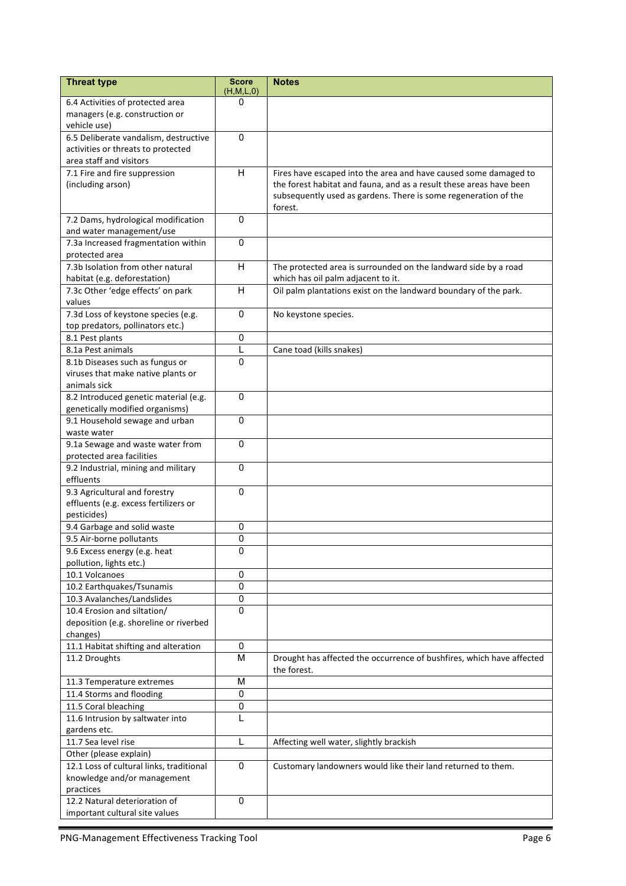| <b>Threat type</b>                                  | <b>Score</b><br>(H,M,L,0) | <b>Notes</b>                                                                                                                            |
|-----------------------------------------------------|---------------------------|-----------------------------------------------------------------------------------------------------------------------------------------|
| 6.4 Activities of protected area                    | 0                         |                                                                                                                                         |
| managers (e.g. construction or                      |                           |                                                                                                                                         |
| vehicle use)                                        |                           |                                                                                                                                         |
| 6.5 Deliberate vandalism, destructive               | 0                         |                                                                                                                                         |
| activities or threats to protected                  |                           |                                                                                                                                         |
| area staff and visitors                             | H                         |                                                                                                                                         |
| 7.1 Fire and fire suppression<br>(including arson)  |                           | Fires have escaped into the area and have caused some damaged to<br>the forest habitat and fauna, and as a result these areas have been |
|                                                     |                           | subsequently used as gardens. There is some regeneration of the                                                                         |
|                                                     |                           | forest.                                                                                                                                 |
| 7.2 Dams, hydrological modification                 | 0                         |                                                                                                                                         |
| and water management/use                            |                           |                                                                                                                                         |
| 7.3a Increased fragmentation within                 | $\mathbf{0}$              |                                                                                                                                         |
| protected area                                      |                           |                                                                                                                                         |
| 7.3b Isolation from other natural                   | H                         | The protected area is surrounded on the landward side by a road                                                                         |
| habitat (e.g. deforestation)                        |                           | which has oil palm adjacent to it.                                                                                                      |
| 7.3c Other 'edge effects' on park                   | H                         | Oil palm plantations exist on the landward boundary of the park.                                                                        |
| values                                              |                           |                                                                                                                                         |
| 7.3d Loss of keystone species (e.g.                 | 0                         | No keystone species.                                                                                                                    |
| top predators, pollinators etc.)<br>8.1 Pest plants | $\mathbf 0$               |                                                                                                                                         |
| 8.1a Pest animals                                   | L                         | Cane toad (kills snakes)                                                                                                                |
| 8.1b Diseases such as fungus or                     | $\Omega$                  |                                                                                                                                         |
| viruses that make native plants or                  |                           |                                                                                                                                         |
| animals sick                                        |                           |                                                                                                                                         |
| 8.2 Introduced genetic material (e.g.               | $\mathbf{0}$              |                                                                                                                                         |
| genetically modified organisms)                     |                           |                                                                                                                                         |
| 9.1 Household sewage and urban                      | $\mathbf{0}$              |                                                                                                                                         |
| waste water                                         |                           |                                                                                                                                         |
| 9.1a Sewage and waste water from                    | $\mathbf 0$               |                                                                                                                                         |
| protected area facilities                           |                           |                                                                                                                                         |
| 9.2 Industrial, mining and military                 | $\mathbf 0$               |                                                                                                                                         |
| effluents                                           |                           |                                                                                                                                         |
| 9.3 Agricultural and forestry                       | $\Omega$                  |                                                                                                                                         |
| effluents (e.g. excess fertilizers or               |                           |                                                                                                                                         |
| pesticides)<br>9.4 Garbage and solid waste          | 0                         |                                                                                                                                         |
| 9.5 Air-borne pollutants                            | 0                         |                                                                                                                                         |
| 9.6 Excess energy (e.g. heat                        | 0                         |                                                                                                                                         |
| pollution, lights etc.)                             |                           |                                                                                                                                         |
| 10.1 Volcanoes                                      | 0                         |                                                                                                                                         |
| 10.2 Earthquakes/Tsunamis                           | 0                         |                                                                                                                                         |
| 10.3 Avalanches/Landslides                          | 0                         |                                                                                                                                         |
| 10.4 Erosion and siltation/                         | 0                         |                                                                                                                                         |
| deposition (e.g. shoreline or riverbed              |                           |                                                                                                                                         |
| changes)                                            |                           |                                                                                                                                         |
| 11.1 Habitat shifting and alteration                | 0                         |                                                                                                                                         |
| 11.2 Droughts                                       | M                         | Drought has affected the occurrence of bushfires, which have affected                                                                   |
|                                                     |                           | the forest.                                                                                                                             |
| 11.3 Temperature extremes                           | M<br>0                    |                                                                                                                                         |
| 11.4 Storms and flooding<br>11.5 Coral bleaching    | 0                         |                                                                                                                                         |
| 11.6 Intrusion by saltwater into                    | L                         |                                                                                                                                         |
| gardens etc.                                        |                           |                                                                                                                                         |
| 11.7 Sea level rise                                 | L                         | Affecting well water, slightly brackish                                                                                                 |
| Other (please explain)                              |                           |                                                                                                                                         |
| 12.1 Loss of cultural links, traditional            | $\mathbf 0$               | Customary landowners would like their land returned to them.                                                                            |
| knowledge and/or management                         |                           |                                                                                                                                         |
| practices                                           |                           |                                                                                                                                         |
| 12.2 Natural deterioration of                       | $\mathbf 0$               |                                                                                                                                         |
| important cultural site values                      |                           |                                                                                                                                         |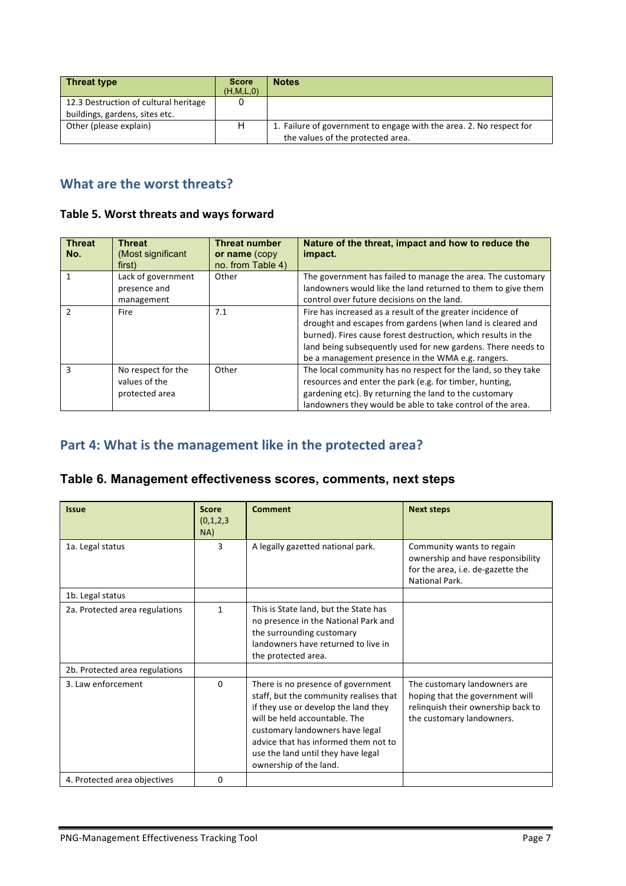| <b>Threat type</b>                                                      | <b>Score</b><br>(H, M, L, 0) | <b>Notes</b>                                                                                             |
|-------------------------------------------------------------------------|------------------------------|----------------------------------------------------------------------------------------------------------|
| 12.3 Destruction of cultural heritage<br>buildings, gardens, sites etc. |                              |                                                                                                          |
| Other (please explain)                                                  | н                            | 1. Failure of government to engage with the area. 2. No respect for<br>the values of the protected area. |

## **What are the worst threats?**

#### Table 5. Worst threats and ways forward

| <b>Threat</b><br>No. | <b>Threat</b><br>(Most significant<br>first)          | <b>Threat number</b><br>or name (copy<br>no. from Table 4) | Nature of the threat, impact and how to reduce the<br>impact.                                                                                                                                                                                                                                                  |
|----------------------|-------------------------------------------------------|------------------------------------------------------------|----------------------------------------------------------------------------------------------------------------------------------------------------------------------------------------------------------------------------------------------------------------------------------------------------------------|
|                      | Lack of government<br>presence and<br>management      | Other                                                      | The government has failed to manage the area. The customary<br>landowners would like the land returned to them to give them<br>control over future decisions on the land.                                                                                                                                      |
| $\mathcal{P}$        | Fire                                                  | 7.1                                                        | Fire has increased as a result of the greater incidence of<br>drought and escapes from gardens (when land is cleared and<br>burned). Fires cause forest destruction, which results in the<br>land being subsequently used for new gardens. There needs to<br>be a management presence in the WMA e.g. rangers. |
| 3                    | No respect for the<br>values of the<br>protected area | Other                                                      | The local community has no respect for the land, so they take<br>resources and enter the park (e.g. for timber, hunting,<br>gardening etc). By returning the land to the customary<br>landowners they would be able to take control of the area.                                                               |

### Part 4: What is the management like in the protected area?

#### **Table 6. Management effectiveness scores, comments, next steps**

| <b>Issue</b>                   | <b>Score</b><br>(0,1,2,3)<br>NA) | <b>Comment</b>                                                                                                                                                                                                                                                                                   | <b>Next steps</b>                                                                                                                  |
|--------------------------------|----------------------------------|--------------------------------------------------------------------------------------------------------------------------------------------------------------------------------------------------------------------------------------------------------------------------------------------------|------------------------------------------------------------------------------------------------------------------------------------|
| 1a. Legal status               | 3                                | A legally gazetted national park.                                                                                                                                                                                                                                                                | Community wants to regain<br>ownership and have responsibility<br>for the area, i.e. de-gazette the<br>National Park.              |
| 1b. Legal status               |                                  |                                                                                                                                                                                                                                                                                                  |                                                                                                                                    |
| 2a. Protected area regulations | $\mathbf{1}$                     | This is State land, but the State has<br>no presence in the National Park and<br>the surrounding customary<br>landowners have returned to live in<br>the protected area.                                                                                                                         |                                                                                                                                    |
| 2b. Protected area regulations |                                  |                                                                                                                                                                                                                                                                                                  |                                                                                                                                    |
| 3. Law enforcement             | 0                                | There is no presence of government<br>staff, but the community realises that<br>if they use or develop the land they<br>will be held accountable. The<br>customary landowners have legal<br>advice that has informed them not to<br>use the land until they have legal<br>ownership of the land. | The customary landowners are<br>hoping that the government will<br>relinguish their ownership back to<br>the customary landowners. |
| 4. Protected area objectives   | 0                                |                                                                                                                                                                                                                                                                                                  |                                                                                                                                    |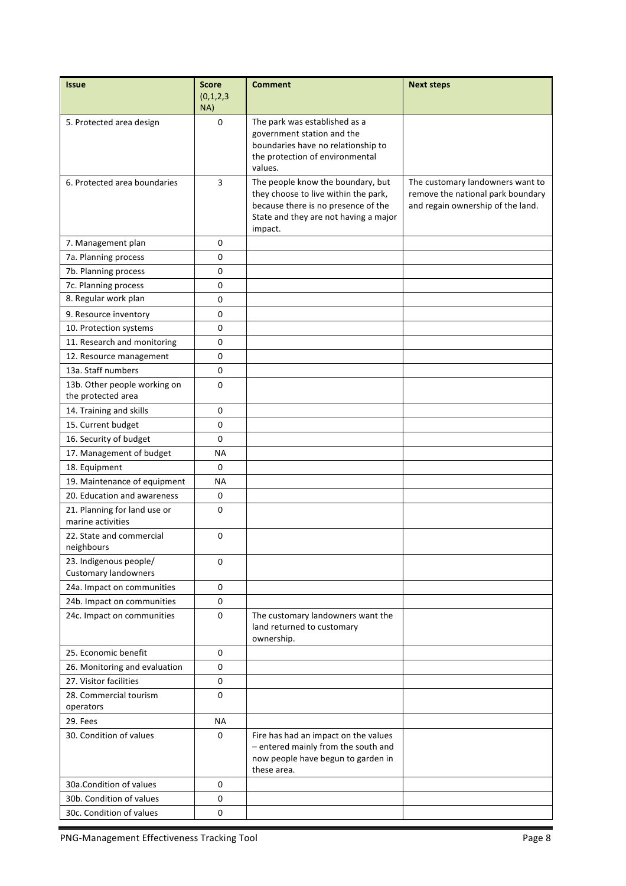| <b>Issue</b>                                          | <b>Score</b><br>(0,1,2,3)<br>NA) | <b>Comment</b>                                                                                                                                                       | <b>Next steps</b>                                                                                          |
|-------------------------------------------------------|----------------------------------|----------------------------------------------------------------------------------------------------------------------------------------------------------------------|------------------------------------------------------------------------------------------------------------|
| 5. Protected area design                              | $\mathbf 0$                      | The park was established as a<br>government station and the<br>boundaries have no relationship to<br>the protection of environmental<br>values.                      |                                                                                                            |
| 6. Protected area boundaries                          | 3                                | The people know the boundary, but<br>they choose to live within the park,<br>because there is no presence of the<br>State and they are not having a major<br>impact. | The customary landowners want to<br>remove the national park boundary<br>and regain ownership of the land. |
| 7. Management plan                                    | 0                                |                                                                                                                                                                      |                                                                                                            |
| 7a. Planning process                                  | 0                                |                                                                                                                                                                      |                                                                                                            |
| 7b. Planning process                                  | 0                                |                                                                                                                                                                      |                                                                                                            |
| 7c. Planning process                                  | 0                                |                                                                                                                                                                      |                                                                                                            |
| 8. Regular work plan                                  | 0                                |                                                                                                                                                                      |                                                                                                            |
| 9. Resource inventory                                 | 0                                |                                                                                                                                                                      |                                                                                                            |
| 10. Protection systems                                | 0                                |                                                                                                                                                                      |                                                                                                            |
| 11. Research and monitoring                           | 0                                |                                                                                                                                                                      |                                                                                                            |
| 12. Resource management                               | 0                                |                                                                                                                                                                      |                                                                                                            |
| 13a. Staff numbers                                    | 0                                |                                                                                                                                                                      |                                                                                                            |
| 13b. Other people working on                          | 0                                |                                                                                                                                                                      |                                                                                                            |
| the protected area                                    |                                  |                                                                                                                                                                      |                                                                                                            |
| 14. Training and skills                               | 0                                |                                                                                                                                                                      |                                                                                                            |
| 15. Current budget                                    | 0                                |                                                                                                                                                                      |                                                                                                            |
| 16. Security of budget                                | 0                                |                                                                                                                                                                      |                                                                                                            |
| 17. Management of budget                              | ΝA                               |                                                                                                                                                                      |                                                                                                            |
| 18. Equipment                                         | 0                                |                                                                                                                                                                      |                                                                                                            |
| 19. Maintenance of equipment                          | ΝA                               |                                                                                                                                                                      |                                                                                                            |
| 20. Education and awareness                           | 0                                |                                                                                                                                                                      |                                                                                                            |
| 21. Planning for land use or<br>marine activities     | 0                                |                                                                                                                                                                      |                                                                                                            |
| 22. State and commercial<br>neighbours                | 0                                |                                                                                                                                                                      |                                                                                                            |
| 23. Indigenous people/<br><b>Customary landowners</b> | 0                                |                                                                                                                                                                      |                                                                                                            |
| 24a. Impact on communities                            | 0                                |                                                                                                                                                                      |                                                                                                            |
| 24b. Impact on communities                            | 0                                |                                                                                                                                                                      |                                                                                                            |
| 24c. Impact on communities                            | 0                                | The customary landowners want the<br>land returned to customary<br>ownership.                                                                                        |                                                                                                            |
| 25. Economic benefit                                  | 0                                |                                                                                                                                                                      |                                                                                                            |
| 26. Monitoring and evaluation                         | 0                                |                                                                                                                                                                      |                                                                                                            |
| 27. Visitor facilities                                | $\mathbf 0$                      |                                                                                                                                                                      |                                                                                                            |
| 28. Commercial tourism                                | 0                                |                                                                                                                                                                      |                                                                                                            |
| operators                                             |                                  |                                                                                                                                                                      |                                                                                                            |
| 29. Fees                                              | ΝA                               |                                                                                                                                                                      |                                                                                                            |
| 30. Condition of values                               | 0                                | Fire has had an impact on the values<br>- entered mainly from the south and<br>now people have begun to garden in<br>these area.                                     |                                                                                                            |
| 30a.Condition of values                               | 0                                |                                                                                                                                                                      |                                                                                                            |
| 30b. Condition of values                              | 0                                |                                                                                                                                                                      |                                                                                                            |
| 30c. Condition of values                              | 0                                |                                                                                                                                                                      |                                                                                                            |